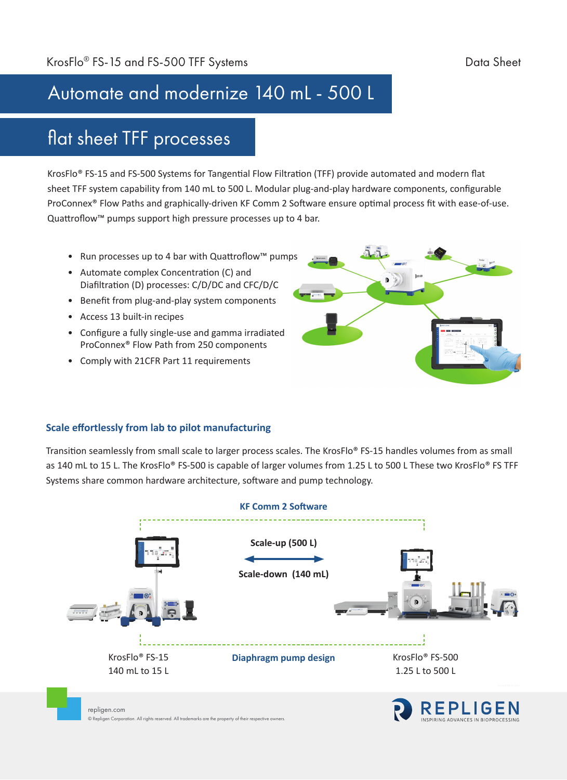## Automate and modernize 140 mL - 500 L

## flat sheet TFF processes

KrosFlo® FS-15 and FS-500 Systems for Tangential Flow Filtration (TFF) provide automated and modern flat sheet TFF system capability from 140 mL to 500 L. Modular plug-and-play hardware components, configurable ProConnex® Flow Paths and graphically-driven KF Comm 2 Software ensure optimal process fit with ease-of-use. Quattroflow™ pumps support high pressure processes up to 4 bar.

- Run processes up to 4 bar with Quattroflow™ pumps
- Automate complex Concentration (C) and Diafiltration (D) processes: C/D/DC and CFC/D/C
- Benefit from plug-and-play system components
- Access 13 built-in recipes
- Configure a fully single-use and gamma irradiated ProConnex® Flow Path from 250 components
- Comply with 21CFR Part 11 requirements



#### **Scale effortlessly from lab to pilot manufacturing**

Transition seamlessly from small scale to larger process scales. The KrosFlo® FS-15 handles volumes from as small as 140 mL to 15 L. The KrosFlo® FS-500 is capable of larger volumes from 1.25 L to 500 L These two KrosFlo® FS TFF Systems share common hardware architecture, software and pump technology.

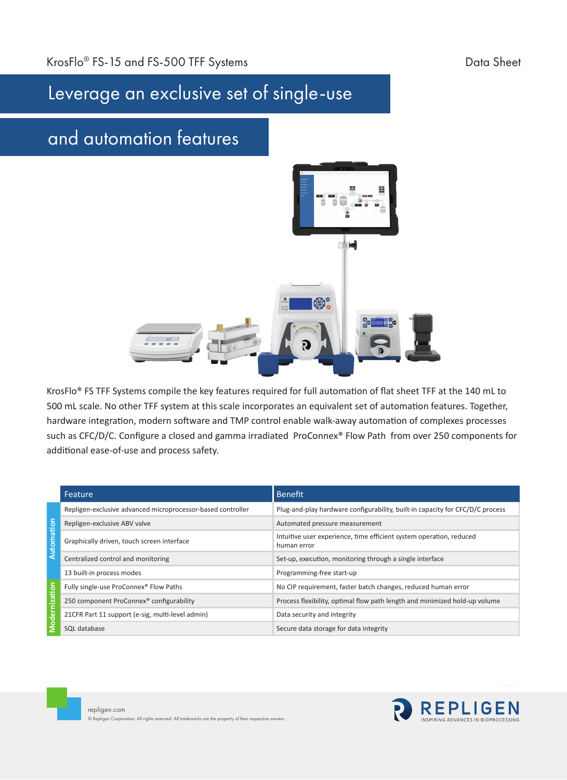# Leverage an exclusive set of single-use

## and automation features



KrosFlo® FS TFF Systems compile the key features required for full automation of flat sheet TFF at the 140 mL to 500 mL scale. No other TFF system at this scale incorporates an equivalent set of automation features. Together, hardware integration, modern software and TMP control enable walk-away automation of complexes processes such as CFC/D/C. Configure a closed and gamma irradiated ProConnex® Flow Path from over 250 components for additional ease-of-use and process safety.

|             | Feature                                                     | <b>Benefit</b>                                                                     |
|-------------|-------------------------------------------------------------|------------------------------------------------------------------------------------|
| Automation  | Repligen-exclusive advanced microprocessor-based controller | Plug-and-play hardware configurability, built-in capacity for CFC/D/C process      |
|             | Repligen-exclusive ABV valve                                | Automated pressure measurement                                                     |
|             | Graphically driven, touch screen interface                  | Intuitive user experience, time efficient system operation, reduced<br>human error |
|             | Centralized control and monitoring                          | Set-up, execution, monitoring through a single interface                           |
|             | 13 built-in process modes                                   | Programming-free start-up                                                          |
| 52<br>odern | Fully single-use ProConnex <sup>®</sup> Flow Paths          | No CIP requirement, faster batch changes, reduced human error                      |
|             | 250 component ProConnex® configurability                    | Process flexibility, optimal flow path length and minimized hold-up volume         |
|             | 21CFR Part 11 support (e-sig, multi-level admin)            | Data security and integrity                                                        |
|             | SQL database                                                | Secure data storage for data integrity                                             |